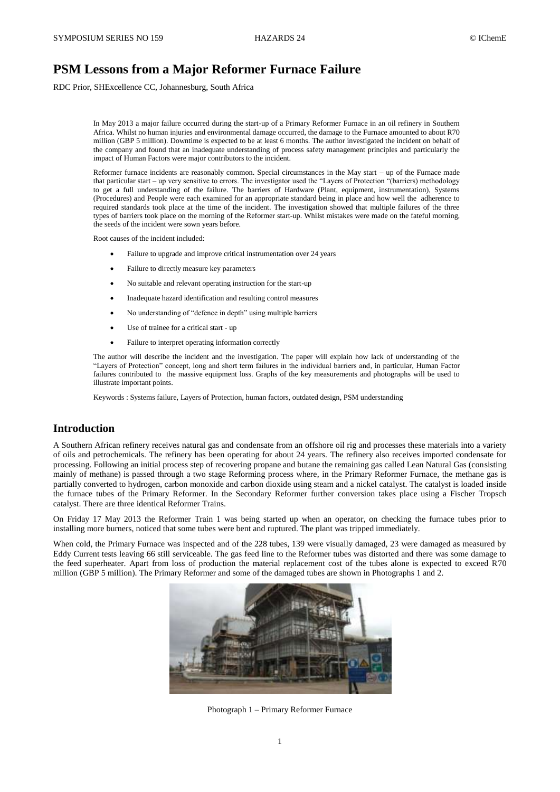# **PSM Lessons from a Major Reformer Furnace Failure**

RDC Prior, SHExcellence CC, Johannesburg, South Africa

In May 2013 a major failure occurred during the start-up of a Primary Reformer Furnace in an oil refinery in Southern Africa. Whilst no human injuries and environmental damage occurred, the damage to the Furnace amounted to about R70 million (GBP 5 million). Downtime is expected to be at least 6 months. The author investigated the incident on behalf of the company and found that an inadequate understanding of process safety management principles and particularly the impact of Human Factors were major contributors to the incident.

Reformer furnace incidents are reasonably common. Special circumstances in the May start – up of the Furnace made that particular start – up very sensitive to errors. The investigator used the "Layers of Protection "(barriers) methodology to get a full understanding of the failure. The barriers of Hardware (Plant, equipment, instrumentation), Systems (Procedures) and People were each examined for an appropriate standard being in place and how well the adherence to required standards took place at the time of the incident. The investigation showed that multiple failures of the three types of barriers took place on the morning of the Reformer start-up. Whilst mistakes were made on the fateful morning, the seeds of the incident were sown years before.

Root causes of the incident included:

- Failure to upgrade and improve critical instrumentation over 24 years
- Failure to directly measure key parameters
- No suitable and relevant operating instruction for the start-up
- Inadequate hazard identification and resulting control measures
- No understanding of "defence in depth" using multiple barriers
- Use of trainee for a critical start up
- Failure to interpret operating information correctly

The author will describe the incident and the investigation. The paper will explain how lack of understanding of the "Layers of Protection" concept, long and short term failures in the individual barriers and, in particular, Human Factor failures contributed to the massive equipment loss. Graphs of the key measurements and photographs will be used to illustrate important points.

Keywords : Systems failure, Layers of Protection, human factors, outdated design, PSM understanding

## **Introduction**

A Southern African refinery receives natural gas and condensate from an offshore oil rig and processes these materials into a variety of oils and petrochemicals. The refinery has been operating for about 24 years. The refinery also receives imported condensate for processing. Following an initial process step of recovering propane and butane the remaining gas called Lean Natural Gas (consisting mainly of methane) is passed through a two stage Reforming process where, in the Primary Reformer Furnace, the methane gas is partially converted to hydrogen, carbon monoxide and carbon dioxide using steam and a nickel catalyst. The catalyst is loaded inside the furnace tubes of the Primary Reformer. In the Secondary Reformer further conversion takes place using a Fischer Tropsch catalyst. There are three identical Reformer Trains.

On Friday 17 May 2013 the Reformer Train 1 was being started up when an operator, on checking the furnace tubes prior to installing more burners, noticed that some tubes were bent and ruptured. The plant was tripped immediately.

When cold, the Primary Furnace was inspected and of the 228 tubes, 139 were visually damaged, 23 were damaged as measured by Eddy Current tests leaving 66 still serviceable. The gas feed line to the Reformer tubes was distorted and there was some damage to the feed superheater. Apart from loss of production the material replacement cost of the tubes alone is expected to exceed R70 million (GBP 5 million). The Primary Reformer and some of the damaged tubes are shown in Photographs 1 and 2.



Photograph 1 – Primary Reformer Furnace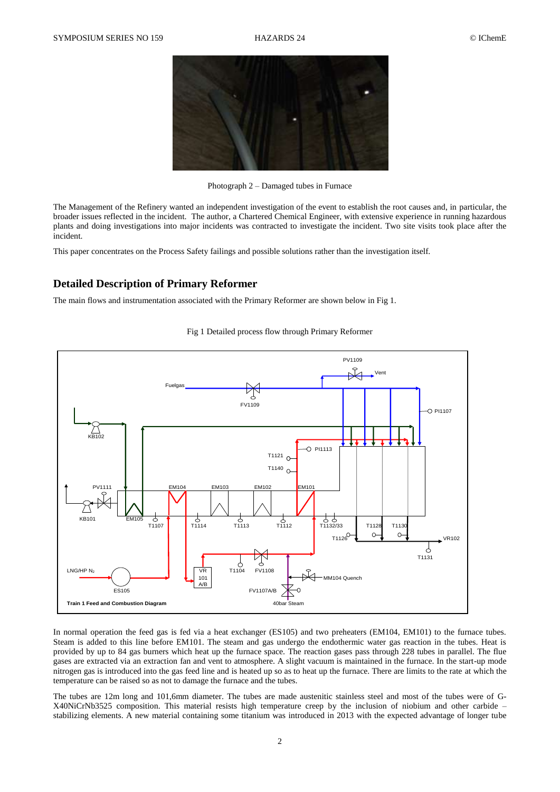

Photograph 2 – Damaged tubes in Furnace

The Management of the Refinery wanted an independent investigation of the event to establish the root causes and, in particular, the broader issues reflected in the incident. The author, a Chartered Chemical Engineer, with extensive experience in running hazardous plants and doing investigations into major incidents was contracted to investigate the incident. Two site visits took place after the incident.

This paper concentrates on the Process Safety failings and possible solutions rather than the investigation itself.

# **Detailed Description of Primary Reformer**

The main flows and instrumentation associated with the Primary Reformer are shown below in Fig 1.



Fig 1 Detailed process flow through Primary Reformer

In normal operation the feed gas is fed via a heat exchanger (ES105) and two preheaters (EM104, EM101) to the furnace tubes. Steam is added to this line before EM101. The steam and gas undergo the endothermic water gas reaction in the tubes. Heat is provided by up to 84 gas burners which heat up the furnace space. The reaction gases pass through 228 tubes in parallel. The flue gases are extracted via an extraction fan and vent to atmosphere. A slight vacuum is maintained in the furnace. In the start-up mode nitrogen gas is introduced into the gas feed line and is heated up so as to heat up the furnace. There are limits to the rate at which the temperature can be raised so as not to damage the furnace and the tubes.

The tubes are 12m long and 101,6mm diameter. The tubes are made austenitic stainless steel and most of the tubes were of G-X40NiCrNb3525 composition. This material resists high temperature creep by the inclusion of niobium and other carbide – stabilizing elements. A new material containing some titanium was introduced in 2013 with the expected advantage of longer tube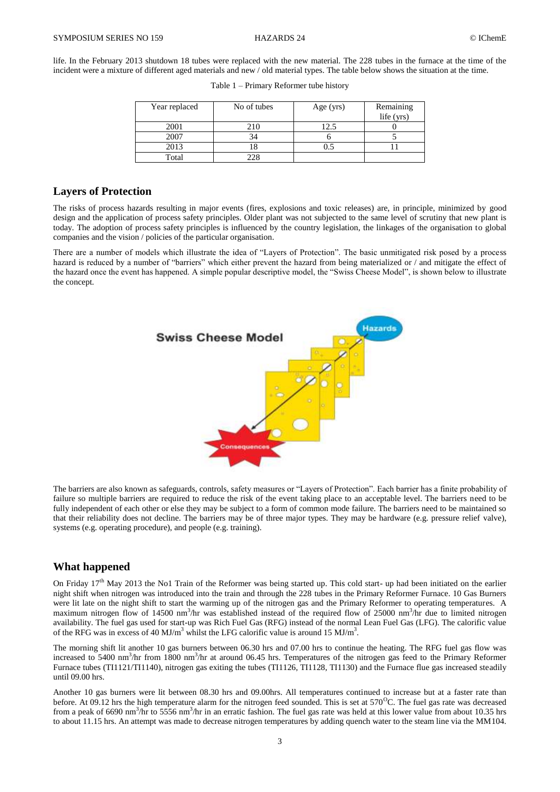life. In the February 2013 shutdown 18 tubes were replaced with the new material. The 228 tubes in the furnace at the time of the incident were a mixture of different aged materials and new / old material types. The table below shows the situation at the time.

| Year replaced | No of tubes | Age $(yrs)$ | Remaining<br>life (yrs) |
|---------------|-------------|-------------|-------------------------|
| 2001          | 210         | 12.5        |                         |
| 2007          | 34          |             |                         |
| 2013          |             |             |                         |
| Total         | 228         |             |                         |

## **Layers of Protection**

The risks of process hazards resulting in major events (fires, explosions and toxic releases) are, in principle, minimized by good design and the application of process safety principles. Older plant was not subjected to the same level of scrutiny that new plant is today. The adoption of process safety principles is influenced by the country legislation, the linkages of the organisation to global companies and the vision / policies of the particular organisation.

There are a number of models which illustrate the idea of "Layers of Protection". The basic unmitigated risk posed by a process hazard is reduced by a number of "barriers" which either prevent the hazard from being materialized or / and mitigate the effect of the hazard once the event has happened. A simple popular descriptive model, the "Swiss Cheese Model", is shown below to illustrate the concept.



The barriers are also known as safeguards, controls, safety measures or "Layers of Protection". Each barrier has a finite probability of failure so multiple barriers are required to reduce the risk of the event taking place to an acceptable level. The barriers need to be fully independent of each other or else they may be subject to a form of common mode failure. The barriers need to be maintained so that their reliability does not decline. The barriers may be of three major types. They may be hardware (e.g. pressure relief valve), systems (e.g. operating procedure), and people (e.g. training).

## **What happened**

On Friday 17<sup>th</sup> May 2013 the No1 Train of the Reformer was being started up. This cold start- up had been initiated on the earlier night shift when nitrogen was introduced into the train and through the 228 tubes in the Primary Reformer Furnace. 10 Gas Burners were lit late on the night shift to start the warming up of the nitrogen gas and the Primary Reformer to operating temperatures. A maximum nitrogen flow of 14500 nm<sup>3</sup>/hr was established instead of the required flow of 25000 nm<sup>3</sup>/hr due to limited nitrogen availability. The fuel gas used for start-up was Rich Fuel Gas (RFG) instead of the normal Lean Fuel Gas (LFG). The calorific value of the RFG was in excess of 40 MJ/m<sup>3</sup> whilst the LFG calorific value is around 15 MJ/m<sup>3</sup>.

The morning shift lit another 10 gas burners between 06.30 hrs and 07.00 hrs to continue the heating. The RFG fuel gas flow was increased to 5400 nm<sup>3</sup>/hr from 1800 nm<sup>3</sup>/hr at around 06.45 hrs. Temperatures of the nitrogen gas feed to the Primary Reformer Furnace tubes (TI1121/TI1140), nitrogen gas exiting the tubes (TI1126, TI1128, TI1130) and the Furnace flue gas increased steadily until 09.00 hrs.

Another 10 gas burners were lit between 08.30 hrs and 09.00hrs. All temperatures continued to increase but at a faster rate than before. At 09.12 hrs the high temperature alarm for the nitrogen feed sounded. This is set at  $570^{\circ}$ C. The fuel gas rate was decreased from a peak of 6690 nm<sup>3</sup>/hr to 5556 nm<sup>3</sup>/hr in an erratic fashion. The fuel gas rate was held at this lower value from about 10.35 hrs to about 11.15 hrs. An attempt was made to decrease nitrogen temperatures by adding quench water to the steam line via the MM104.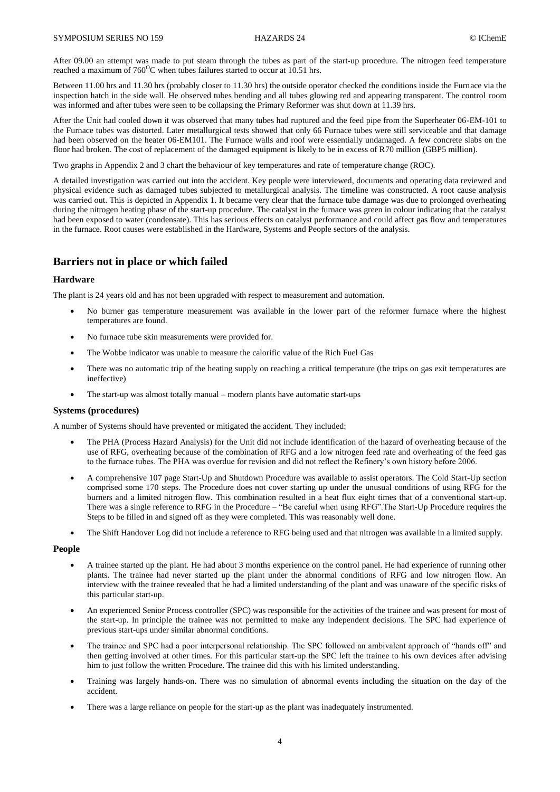After 09.00 an attempt was made to put steam through the tubes as part of the start-up procedure. The nitrogen feed temperature reached a maximum of  $760^{\circ}$ C when tubes failures started to occur at 10.51 hrs.

Between 11.00 hrs and 11.30 hrs (probably closer to 11.30 hrs) the outside operator checked the conditions inside the Furnace via the inspection hatch in the side wall. He observed tubes bending and all tubes glowing red and appearing transparent. The control room was informed and after tubes were seen to be collapsing the Primary Reformer was shut down at 11.39 hrs.

After the Unit had cooled down it was observed that many tubes had ruptured and the feed pipe from the Superheater 06-EM-101 to the Furnace tubes was distorted. Later metallurgical tests showed that only 66 Furnace tubes were still serviceable and that damage had been observed on the heater 06-EM101. The Furnace walls and roof were essentially undamaged. A few concrete slabs on the floor had broken. The cost of replacement of the damaged equipment is likely to be in excess of R70 million (GBP5 million).

Two graphs in Appendix 2 and 3 chart the behaviour of key temperatures and rate of temperature change (ROC).

A detailed investigation was carried out into the accident. Key people were interviewed, documents and operating data reviewed and physical evidence such as damaged tubes subjected to metallurgical analysis. The timeline was constructed. A root cause analysis was carried out. This is depicted in Appendix 1. It became very clear that the furnace tube damage was due to prolonged overheating during the nitrogen heating phase of the start-up procedure. The catalyst in the furnace was green in colour indicating that the catalyst had been exposed to water (condensate). This has serious effects on catalyst performance and could affect gas flow and temperatures in the furnace. Root causes were established in the Hardware, Systems and People sectors of the analysis.

## **Barriers not in place or which failed**

#### **Hardware**

The plant is 24 years old and has not been upgraded with respect to measurement and automation.

- No burner gas temperature measurement was available in the lower part of the reformer furnace where the highest temperatures are found.
- No furnace tube skin measurements were provided for.
- The Wobbe indicator was unable to measure the calorific value of the Rich Fuel Gas
- There was no automatic trip of the heating supply on reaching a critical temperature (the trips on gas exit temperatures are ineffective)
- The start-up was almost totally manual modern plants have automatic start-ups

#### **Systems (procedures)**

A number of Systems should have prevented or mitigated the accident. They included:

- The PHA (Process Hazard Analysis) for the Unit did not include identification of the hazard of overheating because of the use of RFG, overheating because of the combination of RFG and a low nitrogen feed rate and overheating of the feed gas to the furnace tubes. The PHA was overdue for revision and did not reflect the Refinery's own history before 2006.
- A comprehensive 107 page Start-Up and Shutdown Procedure was available to assist operators. The Cold Start-Up section comprised some 170 steps. The Procedure does not cover starting up under the unusual conditions of using RFG for the burners and a limited nitrogen flow. This combination resulted in a heat flux eight times that of a conventional start-up. There was a single reference to RFG in the Procedure – "Be careful when using RFG".The Start-Up Procedure requires the Steps to be filled in and signed off as they were completed. This was reasonably well done.
- The Shift Handover Log did not include a reference to RFG being used and that nitrogen was available in a limited supply.

#### **People**

- A trainee started up the plant. He had about 3 months experience on the control panel. He had experience of running other plants. The trainee had never started up the plant under the abnormal conditions of RFG and low nitrogen flow. An interview with the trainee revealed that he had a limited understanding of the plant and was unaware of the specific risks of this particular start-up.
- An experienced Senior Process controller (SPC) was responsible for the activities of the trainee and was present for most of the start-up. In principle the trainee was not permitted to make any independent decisions. The SPC had experience of previous start-ups under similar abnormal conditions.
- The trainee and SPC had a poor interpersonal relationship. The SPC followed an ambivalent approach of "hands off" and then getting involved at other times. For this particular start-up the SPC left the trainee to his own devices after advising him to just follow the written Procedure. The trainee did this with his limited understanding.
- Training was largely hands-on. There was no simulation of abnormal events including the situation on the day of the accident.
- There was a large reliance on people for the start-up as the plant was inadequately instrumented.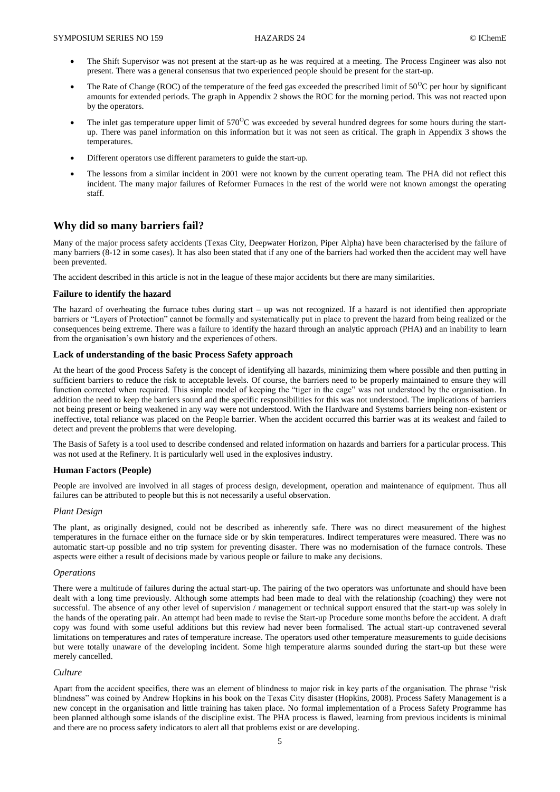- The Shift Supervisor was not present at the start-up as he was required at a meeting. The Process Engineer was also not present. There was a general consensus that two experienced people should be present for the start-up.
- The Rate of Change (ROC) of the temperature of the feed gas exceeded the prescribed limit of  $50^{\circ}$ C per hour by significant amounts for extended periods. The graph in Appendix 2 shows the ROC for the morning period. This was not reacted upon by the operators.
- The inlet gas temperature upper limit of  $570^{\circ}$ C was exceeded by several hundred degrees for some hours during the startup. There was panel information on this information but it was not seen as critical. The graph in Appendix 3 shows the temperatures.
- Different operators use different parameters to guide the start-up.
- The lessons from a similar incident in 2001 were not known by the current operating team. The PHA did not reflect this incident. The many major failures of Reformer Furnaces in the rest of the world were not known amongst the operating staff.

## **Why did so many barriers fail?**

Many of the major process safety accidents (Texas City, Deepwater Horizon, Piper Alpha) have been characterised by the failure of many barriers (8-12 in some cases). It has also been stated that if any one of the barriers had worked then the accident may well have been prevented.

The accident described in this article is not in the league of these major accidents but there are many similarities.

#### **Failure to identify the hazard**

The hazard of overheating the furnace tubes during start – up was not recognized. If a hazard is not identified then appropriate barriers or "Layers of Protection" cannot be formally and systematically put in place to prevent the hazard from being realized or the consequences being extreme. There was a failure to identify the hazard through an analytic approach (PHA) and an inability to learn from the organisation's own history and the experiences of others.

### **Lack of understanding of the basic Process Safety approach**

At the heart of the good Process Safety is the concept of identifying all hazards, minimizing them where possible and then putting in sufficient barriers to reduce the risk to acceptable levels. Of course, the barriers need to be properly maintained to ensure they will function corrected when required. This simple model of keeping the "tiger in the cage" was not understood by the organisation. In addition the need to keep the barriers sound and the specific responsibilities for this was not understood. The implications of barriers not being present or being weakened in any way were not understood. With the Hardware and Systems barriers being non-existent or ineffective, total reliance was placed on the People barrier. When the accident occurred this barrier was at its weakest and failed to detect and prevent the problems that were developing.

The Basis of Safety is a tool used to describe condensed and related information on hazards and barriers for a particular process. This was not used at the Refinery. It is particularly well used in the explosives industry.

## **Human Factors (People)**

People are involved are involved in all stages of process design, development, operation and maintenance of equipment. Thus all failures can be attributed to people but this is not necessarily a useful observation.

## *Plant Design*

The plant, as originally designed, could not be described as inherently safe. There was no direct measurement of the highest temperatures in the furnace either on the furnace side or by skin temperatures. Indirect temperatures were measured. There was no automatic start-up possible and no trip system for preventing disaster. There was no modernisation of the furnace controls. These aspects were either a result of decisions made by various people or failure to make any decisions.

#### *Operations*

There were a multitude of failures during the actual start-up. The pairing of the two operators was unfortunate and should have been dealt with a long time previously. Although some attempts had been made to deal with the relationship (coaching) they were not successful. The absence of any other level of supervision / management or technical support ensured that the start-up was solely in the hands of the operating pair. An attempt had been made to revise the Start-up Procedure some months before the accident. A draft copy was found with some useful additions but this review had never been formalised. The actual start-up contravened several limitations on temperatures and rates of temperature increase. The operators used other temperature measurements to guide decisions but were totally unaware of the developing incident. Some high temperature alarms sounded during the start-up but these were merely cancelled.

#### *Culture*

Apart from the accident specifics, there was an element of blindness to major risk in key parts of the organisation. The phrase "risk blindness" was coined by Andrew Hopkins in his book on the Texas City disaster (Hopkins, 2008). Process Safety Management is a new concept in the organisation and little training has taken place. No formal implementation of a Process Safety Programme has been planned although some islands of the discipline exist. The PHA process is flawed, learning from previous incidents is minimal and there are no process safety indicators to alert all that problems exist or are developing.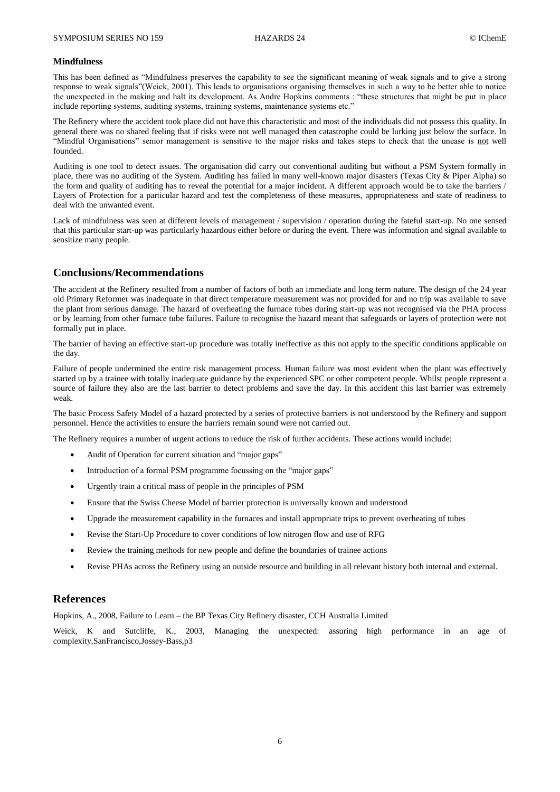#### **Mindfulness**

This has been defined as "Mindfulness preserves the capability to see the significant meaning of weak signals and to give a strong response to weak signals"(Weick, 2001). This leads to organisations organising themselves in such a way to be better able to notice the unexpected in the making and halt its development. As Andre Hopkins comments : "these structures that might be put in place include reporting systems, auditing systems, training systems, maintenance systems etc."

The Refinery where the accident took place did not have this characteristic and most of the individuals did not possess this quality. In general there was no shared feeling that if risks were not well managed then catastrophe could be lurking just below the surface. In "Mindful Organisations" senior management is sensitive to the major risks and takes steps to check that the unease is not well founded.

Auditing is one tool to detect issues. The organisation did carry out conventional auditing but without a PSM System formally in place, there was no auditing of the System. Auditing has failed in many well-known major disasters (Texas City & Piper Alpha) so the form and quality of auditing has to reveal the potential for a major incident. A different approach would be to take the barriers / Layers of Protection for a particular hazard and test the completeness of these measures, appropriateness and state of readiness to deal with the unwanted event.

Lack of mindfulness was seen at different levels of management / supervision / operation during the fateful start-up. No one sensed that this particular start-up was particularly hazardous either before or during the event. There was information and signal available to sensitize many people.

## **Conclusions/Recommendations**

The accident at the Refinery resulted from a number of factors of both an immediate and long term nature. The design of the 24 year old Primary Reformer was inadequate in that direct temperature measurement was not provided for and no trip was available to save the plant from serious damage. The hazard of overheating the furnace tubes during start-up was not recognised via the PHA process or by learning from other furnace tube failures. Failure to recognise the hazard meant that safeguards or layers of protection were not formally put in place.

The barrier of having an effective start-up procedure was totally ineffective as this not apply to the specific conditions applicable on the day.

Failure of people undermined the entire risk management process. Human failure was most evident when the plant was effectively started up by a trainee with totally inadequate guidance by the experienced SPC or other competent people. Whilst people represent a source of failure they also are the last barrier to detect problems and save the day. In this accident this last barrier was extremely weak.

The basic Process Safety Model of a hazard protected by a series of protective barriers is not understood by the Refinery and support personnel. Hence the activities to ensure the barriers remain sound were not carried out.

The Refinery requires a number of urgent actions to reduce the risk of further accidents. These actions would include:

- Audit of Operation for current situation and "major gaps"
- Introduction of a formal PSM programme focussing on the "major gaps"
- Urgently train a critical mass of people in the principles of PSM
- Ensure that the Swiss Cheese Model of barrier protection is universally known and understood
- Upgrade the measurement capability in the furnaces and install appropriate trips to prevent overheating of tubes
- Revise the Start-Up Procedure to cover conditions of low nitrogen flow and use of RFG
- Review the training methods for new people and define the boundaries of trainee actions
- Revise PHAs across the Refinery using an outside resource and building in all relevant history both internal and external.

## **References**

Hopkins, A., 2008, Failure to Learn – the BP Texas City Refinery disaster, CCH Australia Limited

Weick, K and Sutcliffe, K., 2003, Managing the unexpected: assuring high performance in an age of complexity,SanFrancisco,Jossey-Bass,p3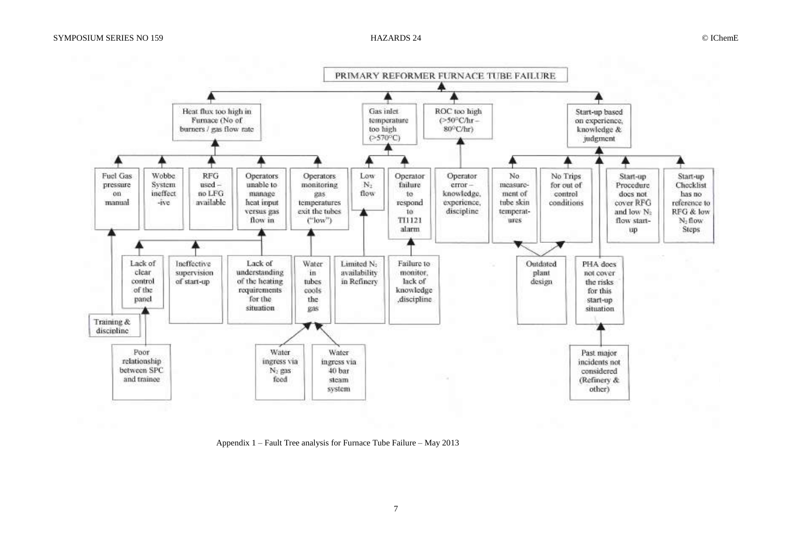

Appendix 1 – Fault Tree analysis for Furnace Tube Failure – May 2013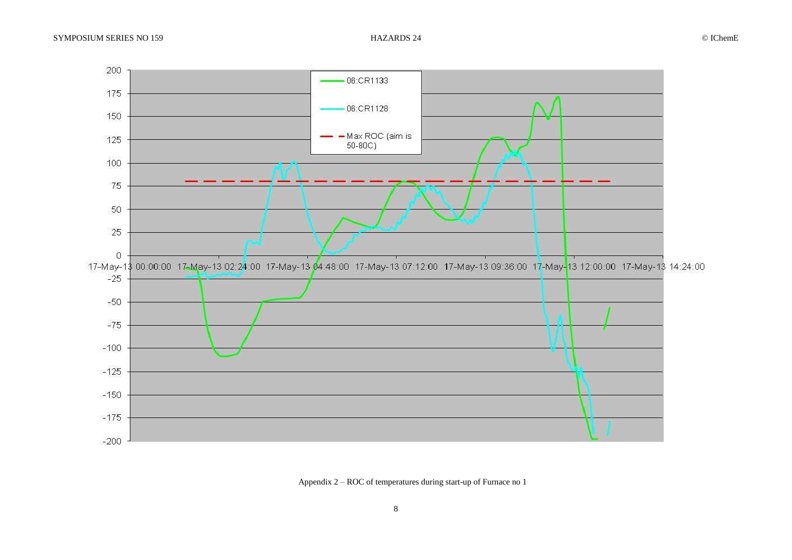

Appendix 2 – ROC of temperatures during start-up of Furnace no 1